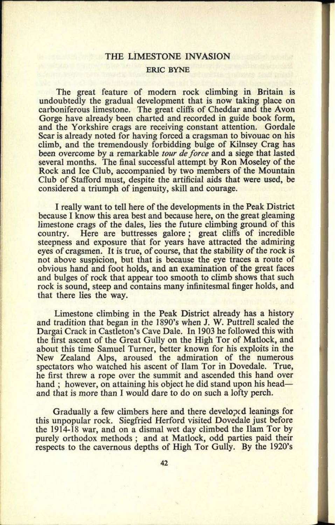## **THE** LIMESTONE INVASION ERIC BYNE

The great feature of modern rock climbing in Britain is undoubtedly the gradual development that is now taking place on carboniferous limestone. The great cliffs of Cheddar and the Avon Gorge have already been charted and recorded in guide book form, and the Yorkshire crags are receiving constant attention. Gordale Scar is already noted for having forced a cragsman to bivouac on his climb, and the tremendously forbidding bulge of Kilnsey Crag has been overcome by a remarkable *tour de force* and a siege that lasted several months. The final successful attempt by Ron Moseley of the Rock and Ice Club, accompanied by two members of the Mountain Club of Stafford must, despite the artificial aids that were used, be considered a triumph of ingenuity, skill and courage.

I really want to tell here of the developments in the Peak District because I know this area best and because here, on the great gleaming limestone crags of the dales, lies the future climbing ground of this country. Here are buttresses galore; great cliffs of incredible Here are buttresses galore; great cliffs of incredible steepness and exposure that for years have attracted the admiring eyes of cragsmen. It is true, of course, that the stability of the rock is not above suspicion, but that is because the eye traces a route of obvious hand and foot holds, and an examination of the great faces and bulges of rock that appear too smooth to climb shows that such rock is sound, steep and contains many infinitesmal finger holds, and that there lies the way.

Limestone climbing in the Peak District already has a history and tradition that began in the 1890's when J. W. Puttrell scaled the Dargai Crack in Castleton's Cave Dale. In 1903 he followed this with the first ascent of the Great Gully on the High Tor of Matlock, and about this time Samuel Turner, better known for his exploits in the New Zealand Alps, aroused the admiration of the numerous spectators who watched his ascent of Ham Tor in Dovedale. True, he first threw a rope over the summit and ascended this hand over hand ; however, on attaining his object he did stand upon his head and that is more than I would dare to do on such a lofty perch.

Gradually a few climbers here and there developed leanings for this unpopular rock. Siegfried Herford visited Dovedale just before the 1914-18 war, and on a dismal wet day climbed the Ilam Tor by purely orthodox methods ; and at Matlock, odd parties paid their respects to the cavernous depths of High Tor Gully. By the 1920's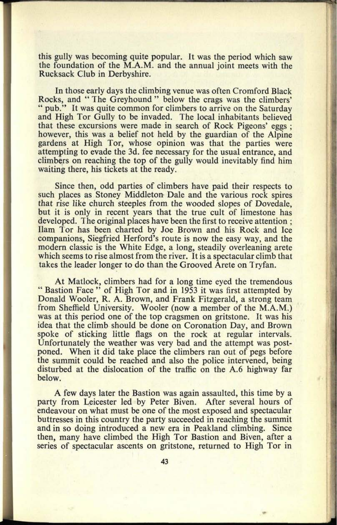this gully was becoming quite popular. It was the period which saw the foundation of the M.A.M. and the annual joint meets with the Rucksack Club in Derbyshire.

In those early days the climbing venue was often Cromford Black Rocks, and " The Greyhound " below the crags was the climbers' " pub." It was quite common for climbers to arrive on the Saturday and High Tor Gully to be invaded. The local inhabitants believed that these excursions were made in search of Rock Pigeons' eggs ; however, this was a belief not held by the guardian of the Alpine gardens at High Tor, whose opinion was that the parties were attempting to evade the *3d.* fee necessary for the usual entrance, and climbers on reaching the top of the gully would inevitably find him waiting there, his tickets at the ready.

Since then, odd parties of climbers have paid their respects to such places as Stoney Middleton Dale and the various rock spires that rise like church steeples from the wooded slopes of Dovedale, but it is only in recent years that the true cult of limestone has developed. The original places have been the first to receive attention ; Ham Tor has been charted by Joe Brown and his Rock and Ice companions, Siegfried Herford's route is now the easy way, and the modern classic is the White Edge, a long, steadily overleaning arete which seems to rise almost from the river. It is a spectacular climb that takes the leader longer to do than the Grooved Arete on Tryfan.

At Matlock, climbers had for a long time eyed the tremendous " Bastion Face " of High Tor and in 1953 it was first attempted by Donald Wooler, R. A. Brown, and Frank Fitzgerald, a strong team from Sheffield University. Wooler (now a member of the M.A.M.) was at this period one of the top cragsmen on gritstone. It was his idea that the climb should be done on Coronation Day, and Brown spoke of sticking little flags on the rock at regular intervals. Unfortunately the weather was very bad and the attempt was postponed. When it did take place the climbers ran out of pegs before the summit could be reached and also the police intervened, being disturbed at the dislocation of the traffic on the A.6 highway far below.

A few days later the Bastion was again assaulted, this time by <sup>a</sup> party from Leicester led by Peter Biven. After several hours of endeavour on what must be one of the most exposed and spectacular buttresses in this country the party succeeded in reaching the summit and in so doing introduced a new era in Peakland climbing. Since then, many have climbed the High Tor Bastion and Biven, after <sup>a</sup> series of spectacular ascents on gritstone, returned to High Tor in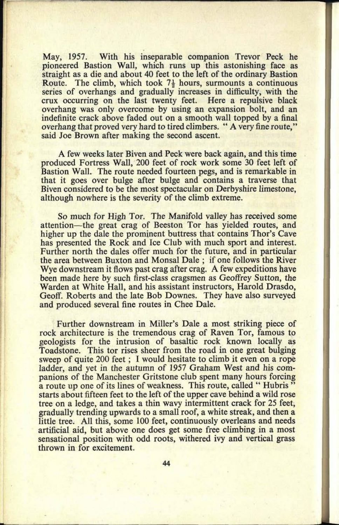May, 1957. With his inseparable companion Trevor Peck he pioneered Bastion Wall, which runs up this astonishing face as straight as a die and about 40 feet to the left of the ordinary Bastion Route. The climb, which took  $7\frac{1}{2}$  hours, surmounts a continuous series of overhangs and gradually increases in difficulty, with the crux occurring on the last twenty feet. Here a repulsive black overhang was only overcome by using an expansion bolt, and an indefinite crack above faded out on <sup>a</sup>smooth wall topped by a final overhang that proved very hard to tired climbers. " A very fine route," said Joe Brown after making the second ascent.

A few weeks later Biven and Peck were back again, and this time produced Fortress Wall, 200 feet of rock work some 30 feet left of Bastion Wall. The route needed fourteen pegs, and is remarkable in that it goes over bulge after bulge and contains a traverse that Biven considered to be the most spectacular on Derbyshire limestone, although nowhere is the severity of the climb extreme.

So much for High Tor. The Manifold valley has received some attention-the great crag of Beeston Tor has yielded routes, and higher up the dale the prominent buttress that contains Thor's Cave has presented the Rock and Ice Club with much sport and interest. Further north the dales offer much for the future, and in particular the area between Buxton and Monsal Dale ; if one follows the River Wye downstream it flows past crag after crag. A few expeditions have been made here by such first-class cragsmen as Geoffrey Sutton, the Warden at White Hall, and his assistant instructors, Harold Drasdo, Geoff. Roberts and the late Bob Downes. They have also surveyed and produced several fine routes in Chee Dale.

Further downstream in Miller's Dale a most striking piece of rock architecture is the tremendous crag of Raven Tor, famous to geologists for the intrusion of basaltic rock known locally as Toadstone. This tor rises sheer from the road in one great bulging sweep of quite 200 feet; I would hesitate to climb it even on a rope ladder, and yet in the autumn of 1957 Graham West and his companions of the Manchester Gritstone club spent many hours forcing a route up one of its lines of weakness. This route, called "Hubris" starts about fifteen feet to the left of the upper cave behind a wild rose tree on <sup>a</sup>ledge, and takes a thin wavy intermittent crack for 25 feet, gradually trending upwards to a small roof, a white streak, and then <sup>a</sup> little tree. All this, some 100 feet, continuously overleans and needs artificial aid, but above one does get some free climbing in a most sensational position with odd roots, withered ivy and vertical grass thrown in for excitement.